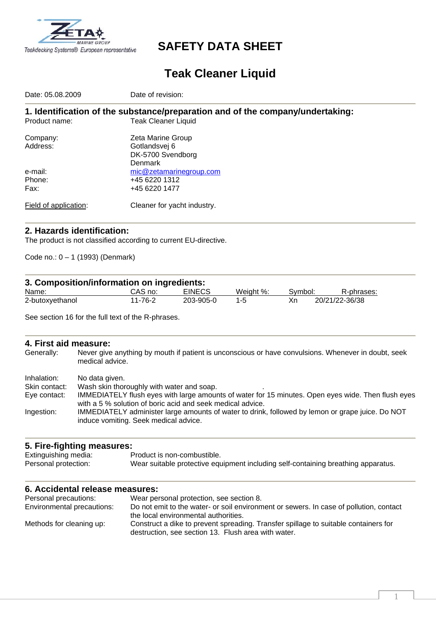

## **SAFETY DATA SHEET**

# **Teak Cleaner Liquid**

| Date: 05.08.2009      | Date of revision:                                                              |
|-----------------------|--------------------------------------------------------------------------------|
|                       | 1. Identification of the substance/preparation and of the company/undertaking: |
| Product name:         | <b>Teak Cleaner Liquid</b>                                                     |
| Company:              | Zeta Marine Group                                                              |
| Address:              | Gotlandsvej 6                                                                  |
|                       | DK-5700 Svendborg                                                              |
|                       | Denmark                                                                        |
| e-mail:               | mic@zetamarinegroup.com                                                        |
| Phone:                | +45 6220 1312                                                                  |
| Fax:                  | +45 6220 1477                                                                  |
| Field of application: | Cleaner for yacht industry.                                                    |

#### **2. Hazards identification:**

The product is not classified according to current EU-directive.

Code no.: 0 – 1 (1993) (Denmark)

| 3. Composition/information on ingredients: |         |               |           |         |                |
|--------------------------------------------|---------|---------------|-----------|---------|----------------|
| Name:                                      | CAS no: | <b>EINECS</b> | Weight %: | Symbol: | R-phrases:     |
| 2-butoxyethanol                            | 11-76-2 | 203-905-0     | $1 - 5$   | Xn      | 20/21/22-36/38 |

See section 16 for the full text of the R-phrases.

**4. First aid measure:**  Never give anything by mouth if patient is unconscious or have convulsions. Whenever in doubt, seek medical advice.

Inhalation: No data given.

Skin contact: Wash skin thoroughly with water and soap.

| Eye contact: | IMMEDIATELY flush eyes with large amounts of water for 15 minutes. Open eyes wide. Then flush eyes |
|--------------|----------------------------------------------------------------------------------------------------|
|              | with a 5 % solution of boric acid and seek medical advice.                                         |
| Ingestion:   | IMMEDIATELY administer large amounts of water to drink, followed by lemon or grape juice. Do NOT   |
|              | induce vomiting. Seek medical advice.                                                              |

#### **5. Fire-fighting measures:**

| Extinguishing media: | Product is non-combustible.                                                       |
|----------------------|-----------------------------------------------------------------------------------|
| Personal protection: | Wear suitable protective equipment including self-containing breathing apparatus. |

#### **6. Accidental release measures:**

| Personal precautions:      | Wear personal protection, see section 8.                                               |
|----------------------------|----------------------------------------------------------------------------------------|
| Environmental precautions: | Do not emit to the water- or soil environment or sewers. In case of pollution, contact |
|                            | the local environmental authorities.                                                   |
| Methods for cleaning up:   | Construct a dike to prevent spreading. Transfer spillage to suitable containers for    |
|                            | destruction, see section 13. Flush area with water.                                    |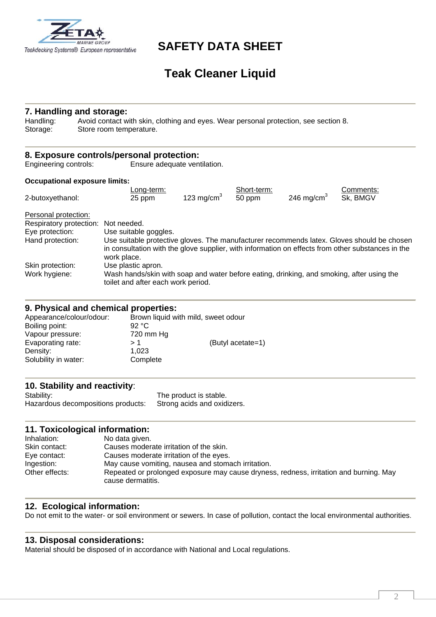

**7. Handling and storage:**

## **SAFETY DATA SHEET**

# **Teak Cleaner Liquid**

#### Handling: Avoid contact with skin, clothing and eyes. Wear personal protection, see section 8. Storage: Store room temperature. **8. Exposure controls/personal protection:** Engineering controls: Ensure adequate ventilation. **Occupational exposure limits:**  Eurg-term: End-term: Short-term: Short-term: Comments: Comments: Comments: Comments: Comments: Comments: Comment<br>Comments: Comments: Comments: Comments: Comments: Comments: Comments: Comments: Comments: Comments: Comments: 2-butoxyethanol: 25 ppm  $\overline{50 \text{ ppm}}$  246 mg/cm<sup>3</sup> Sk, BMGV Personal protection: Respiratory protection: Not needed. Eye protection: Use suitable goggles. Hand protection: Use suitable protective gloves. The manufacturer recommends latex. Gloves should be chosen in consultation with the glove supplier, with information on effects from other substances in the work place. Skin protection: Use plastic apron. Work hygiene: Wash hands/skin with soap and water before eating, drinking, and smoking, after using the

#### **9. Physical and chemical properties:**

| Appearance/colour/odour: | Brown liquid with mild, sweet odour |                   |  |
|--------------------------|-------------------------------------|-------------------|--|
| Boiling point:           | 92 °C                               |                   |  |
| Vapour pressure:         | 720 mm Hg                           |                   |  |
| Evaporating rate:        | > 1                                 | (Butyl acetate=1) |  |
| Density:                 | 1.023                               |                   |  |
| Solubility in water:     | Complete                            |                   |  |
|                          |                                     |                   |  |

toilet and after each work period.

#### **10. Stability and reactivity**:

Stability: Stability: The product is stable. Hazardous decompositions products: Strong acids and oxidizers.

#### **11. Toxicological information:**

| Inhalation:    | No data given.                                                                                              |
|----------------|-------------------------------------------------------------------------------------------------------------|
| Skin contact:  | Causes moderate irritation of the skin.                                                                     |
| Eye contact:   | Causes moderate irritation of the eyes.                                                                     |
| Ingestion:     | May cause vomiting, nausea and stomach irritation.                                                          |
| Other effects: | Repeated or prolonged exposure may cause dryness, redness, irritation and burning. May<br>cause dermatitis. |

### **12. Ecological information:**

Do not emit to the water- or soil environment or sewers. In case of pollution, contact the local environmental authorities.

#### **13. Disposal considerations:**

Material should be disposed of in accordance with National and Local regulations.